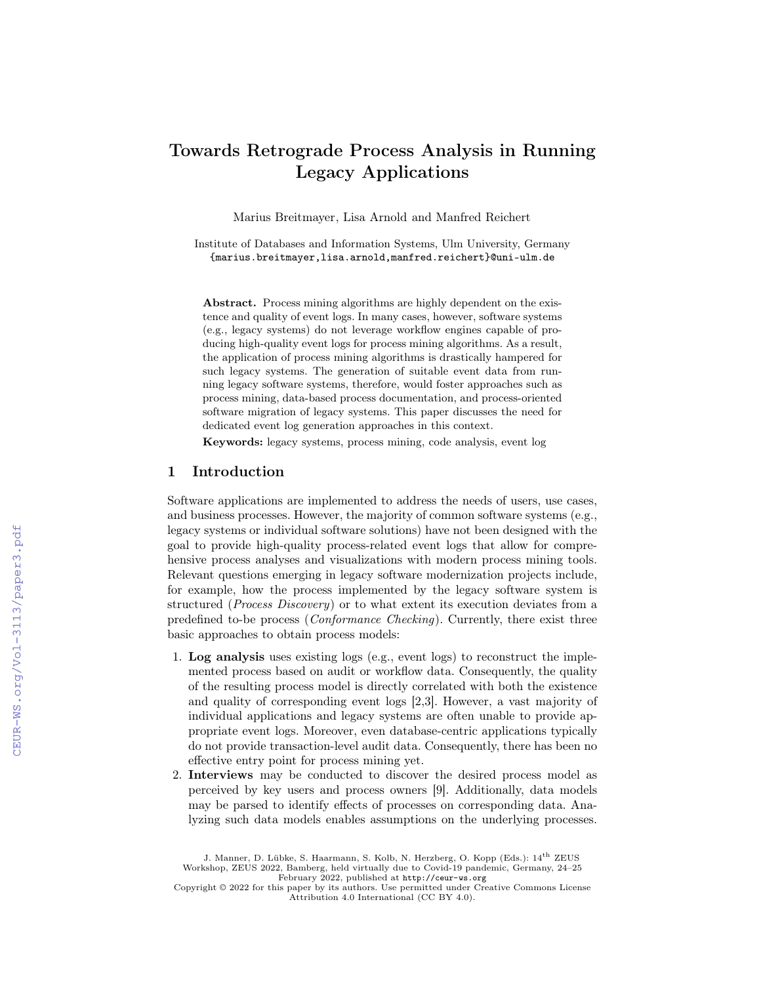# Towards Retrograde Process Analysis in Running Legacy Applications

Marius Breitmayer, Lisa Arnold and Manfred Reichert

Institute of Databases and Information Systems, Ulm University, Germany {marius.breitmayer,lisa.arnold,manfred.reichert}@uni-ulm.de

Abstract. Process mining algorithms are highly dependent on the existence and quality of event logs. In many cases, however, software systems (e.g., legacy systems) do not leverage workflow engines capable of producing high-quality event logs for process mining algorithms. As a result, the application of process mining algorithms is drastically hampered for such legacy systems. The generation of suitable event data from running legacy software systems, therefore, would foster approaches such as process mining, data-based process documentation, and process-oriented software migration of legacy systems. This paper discusses the need for dedicated event log generation approaches in this context.

Keywords: legacy systems, process mining, code analysis, event log

#### 1 Introduction

Software applications are implemented to address the needs of users, use cases, and business processes. However, the majority of common software systems (e.g., legacy systems or individual software solutions) have not been designed with the goal to provide high-quality process-related event logs that allow for comprehensive process analyses and visualizations with modern process mining tools. Relevant questions emerging in legacy software modernization projects include, for example, how the process implemented by the legacy software system is structured (*Process Discovery*) or to what extent its execution deviates from a predefined to-be process (Conformance Checking). Currently, there exist three basic approaches to obtain process models:

- 1. Log analysis uses existing logs (e.g., event logs) to reconstruct the implemented process based on audit or workflow data. Consequently, the quality of the resulting process model is directly correlated with both the existence and quality of corresponding event logs [2,3]. However, a vast majority of individual applications and legacy systems are often unable to provide appropriate event logs. Moreover, even database-centric applications typically do not provide transaction-level audit data. Consequently, there has been no effective entry point for process mining yet.
- 2. Interviews may be conducted to discover the desired process model as perceived by key users and process owners [9]. Additionally, data models may be parsed to identify effects of processes on corresponding data. Analyzing such data models enables assumptions on the underlying processes.

J. Manner, D. Lübke, S. Haarmann, S. Kolb, N. Herzberg, O. Kopp (Eds.):  $14^{\rm th}$  ZEUS Workshop, ZEUS 2022, Bamberg, held virtually due to Covid-19 pandemic, Germany, 24–25 February 2022, published at <http://ceur-ws.org>

Copyright © 2022 for this paper by its authors. Use permitted under Creative Commons License Attribution 4.0 International (CC BY 4.0).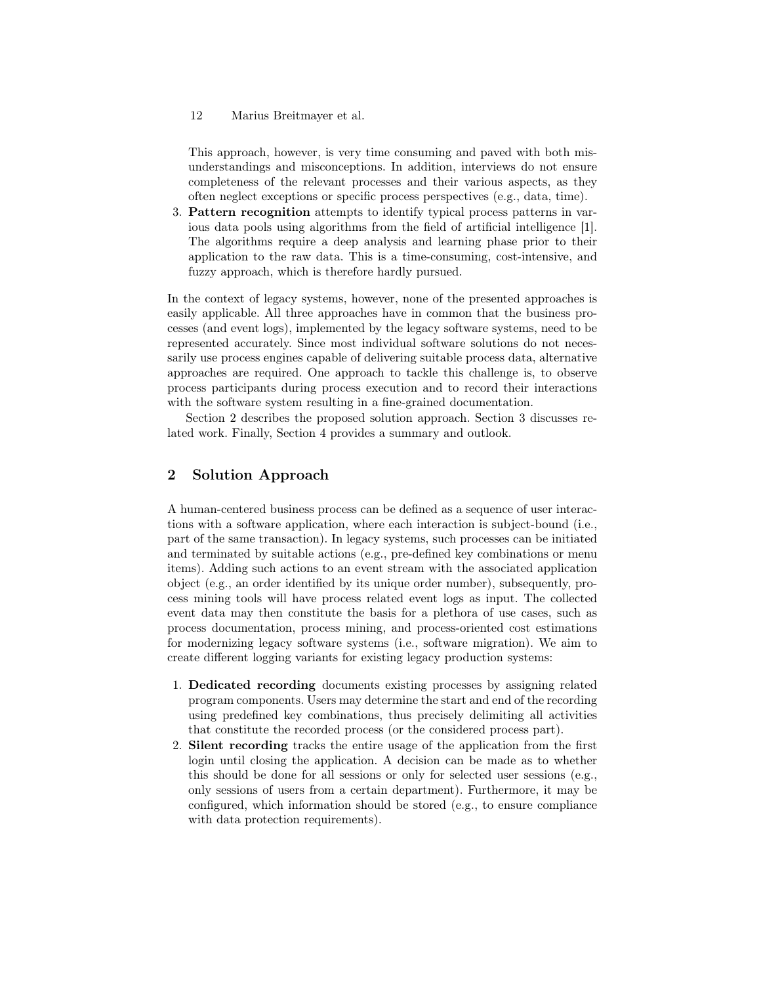### 12 Marius Breitmayer et al.

This approach, however, is very time consuming and paved with both misunderstandings and misconceptions. In addition, interviews do not ensure completeness of the relevant processes and their various aspects, as they often neglect exceptions or specific process perspectives (e.g., data, time).

3. Pattern recognition attempts to identify typical process patterns in various data pools using algorithms from the field of artificial intelligence [1]. The algorithms require a deep analysis and learning phase prior to their application to the raw data. This is a time-consuming, cost-intensive, and fuzzy approach, which is therefore hardly pursued.

In the context of legacy systems, however, none of the presented approaches is easily applicable. All three approaches have in common that the business processes (and event logs), implemented by the legacy software systems, need to be represented accurately. Since most individual software solutions do not necessarily use process engines capable of delivering suitable process data, alternative approaches are required. One approach to tackle this challenge is, to observe process participants during process execution and to record their interactions with the software system resulting in a fine-grained documentation.

Section 2 describes the proposed solution approach. Section 3 discusses related work. Finally, Section 4 provides a summary and outlook.

## 2 Solution Approach

A human-centered business process can be defined as a sequence of user interactions with a software application, where each interaction is subject-bound (i.e., part of the same transaction). In legacy systems, such processes can be initiated and terminated by suitable actions (e.g., pre-defined key combinations or menu items). Adding such actions to an event stream with the associated application object (e.g., an order identified by its unique order number), subsequently, process mining tools will have process related event logs as input. The collected event data may then constitute the basis for a plethora of use cases, such as process documentation, process mining, and process-oriented cost estimations for modernizing legacy software systems (i.e., software migration). We aim to create different logging variants for existing legacy production systems:

- 1. Dedicated recording documents existing processes by assigning related program components. Users may determine the start and end of the recording using predefined key combinations, thus precisely delimiting all activities that constitute the recorded process (or the considered process part).
- 2. Silent recording tracks the entire usage of the application from the first login until closing the application. A decision can be made as to whether this should be done for all sessions or only for selected user sessions (e.g., only sessions of users from a certain department). Furthermore, it may be configured, which information should be stored (e.g., to ensure compliance with data protection requirements).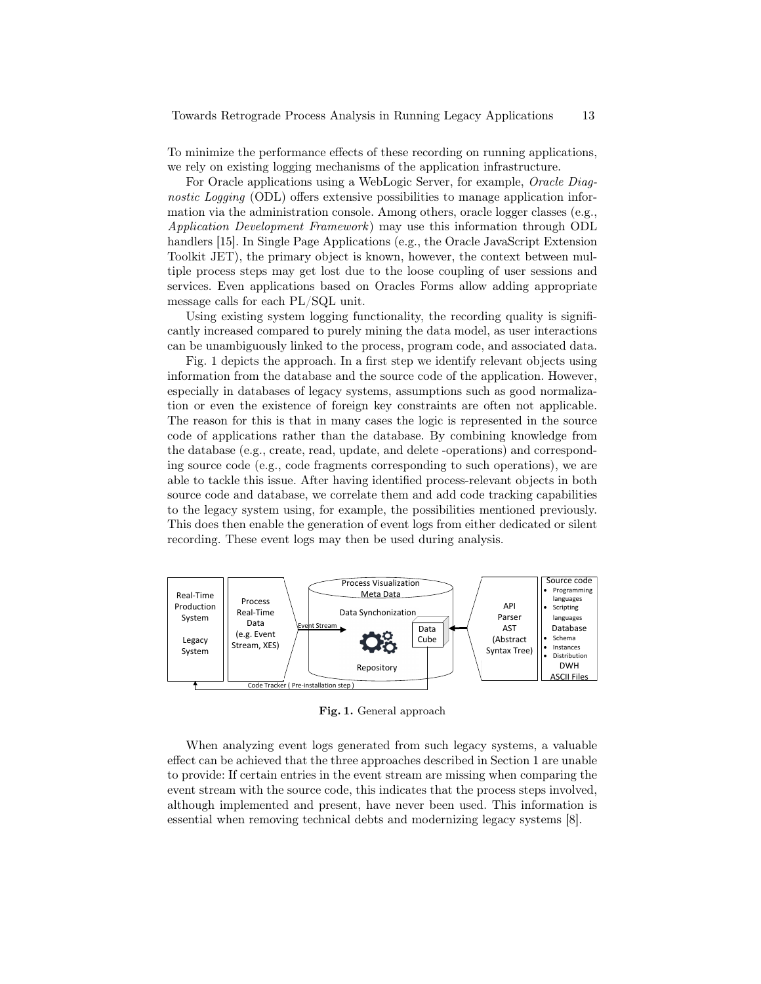To minimize the performance effects of these recording on running applications, we rely on existing logging mechanisms of the application infrastructure.

For Oracle applications using a WebLogic Server, for example, Oracle Diagnostic Logging (ODL) offers extensive possibilities to manage application information via the administration console. Among others, oracle logger classes (e.g., Application Development Framework ) may use this information through ODL handlers [15]. In Single Page Applications (e.g., the Oracle JavaScript Extension Toolkit JET), the primary object is known, however, the context between multiple process steps may get lost due to the loose coupling of user sessions and services. Even applications based on Oracles Forms allow adding appropriate message calls for each PL/SQL unit.

Using existing system logging functionality, the recording quality is significantly increased compared to purely mining the data model, as user interactions can be unambiguously linked to the process, program code, and associated data.

Fig. 1 depicts the approach. In a first step we identify relevant objects using information from the database and the source code of the application. However, especially in databases of legacy systems, assumptions such as good normalization or even the existence of foreign key constraints are often not applicable. The reason for this is that in many cases the logic is represented in the source code of applications rather than the database. By combining knowledge from the database (e.g., create, read, update, and delete -operations) and corresponding source code (e.g., code fragments corresponding to such operations), we are able to tackle this issue. After having identified process-relevant objects in both source code and database, we correlate them and add code tracking capabilities to the legacy system using, for example, the possibilities mentioned previously. This does then enable the generation of event logs from either dedicated or silent recording. These event logs may then be used during analysis.



Fig. 1. General approach

When analyzing event logs generated from such legacy systems, a valuable effect can be achieved that the three approaches described in Section 1 are unable to provide: If certain entries in the event stream are missing when comparing the event stream with the source code, this indicates that the process steps involved, although implemented and present, have never been used. This information is essential when removing technical debts and modernizing legacy systems [8].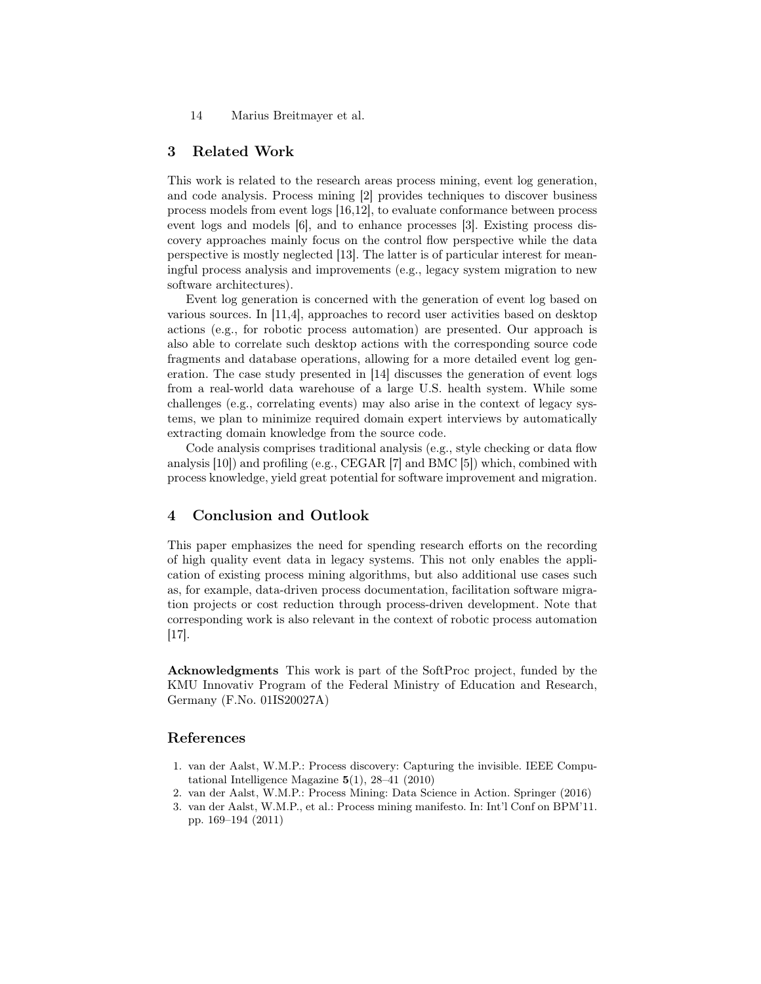14 Marius Breitmayer et al.

## 3 Related Work

This work is related to the research areas process mining, event log generation, and code analysis. Process mining [2] provides techniques to discover business process models from event logs [16,12], to evaluate conformance between process event logs and models [6], and to enhance processes [3]. Existing process discovery approaches mainly focus on the control flow perspective while the data perspective is mostly neglected [13]. The latter is of particular interest for meaningful process analysis and improvements (e.g., legacy system migration to new software architectures).

Event log generation is concerned with the generation of event log based on various sources. In [11,4], approaches to record user activities based on desktop actions (e.g., for robotic process automation) are presented. Our approach is also able to correlate such desktop actions with the corresponding source code fragments and database operations, allowing for a more detailed event log generation. The case study presented in [14] discusses the generation of event logs from a real-world data warehouse of a large U.S. health system. While some challenges (e.g., correlating events) may also arise in the context of legacy systems, we plan to minimize required domain expert interviews by automatically extracting domain knowledge from the source code.

Code analysis comprises traditional analysis (e.g., style checking or data flow analysis [10]) and profiling (e.g., CEGAR [7] and BMC [5]) which, combined with process knowledge, yield great potential for software improvement and migration.

### 4 Conclusion and Outlook

This paper emphasizes the need for spending research efforts on the recording of high quality event data in legacy systems. This not only enables the application of existing process mining algorithms, but also additional use cases such as, for example, data-driven process documentation, facilitation software migration projects or cost reduction through process-driven development. Note that corresponding work is also relevant in the context of robotic process automation [17].

Acknowledgments This work is part of the SoftProc project, funded by the KMU Innovativ Program of the Federal Ministry of Education and Research, Germany (F.No. 01IS20027A)

## References

- 1. van der Aalst, W.M.P.: Process discovery: Capturing the invisible. IEEE Computational Intelligence Magazine 5(1), 28–41 (2010)
- 2. van der Aalst, W.M.P.: Process Mining: Data Science in Action. Springer (2016)
- 3. van der Aalst, W.M.P., et al.: Process mining manifesto. In: Int'l Conf on BPM'11. pp. 169–194 (2011)